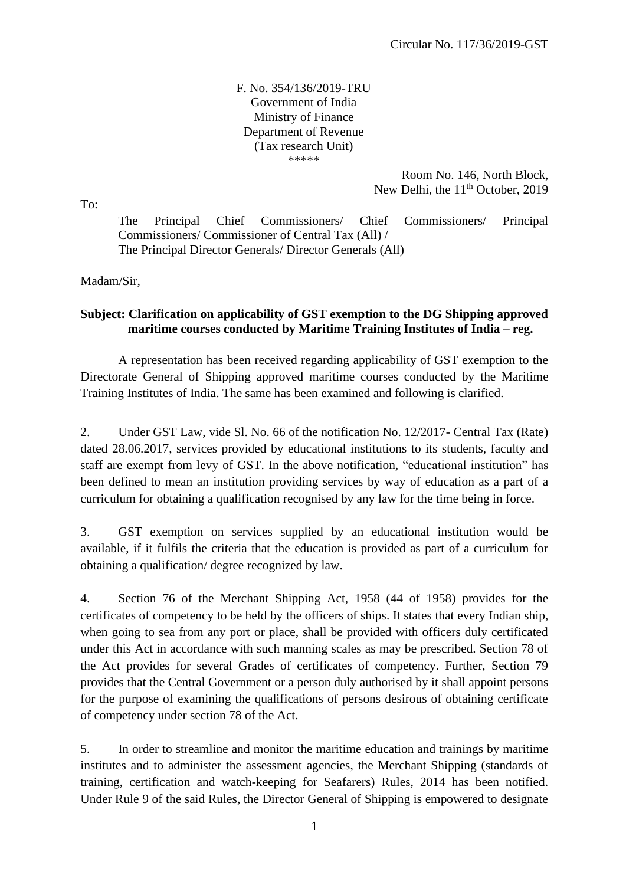F. No. 354/136/2019-TRU Government of India Ministry of Finance Department of Revenue (Tax research Unit) \*\*\*\*\*

> Room No. 146, North Block, New Delhi, the  $11<sup>th</sup>$  October, 2019

To:

The Principal Chief Commissioners/ Chief Commissioners/ Principal Commissioners/ Commissioner of Central Tax (All) / The Principal Director Generals/ Director Generals (All)

Madam/Sir,

## **Subject: Clarification on applicability of GST exemption to the DG Shipping approved maritime courses conducted by Maritime Training Institutes of India – reg.**

A representation has been received regarding applicability of GST exemption to the Directorate General of Shipping approved maritime courses conducted by the Maritime Training Institutes of India. The same has been examined and following is clarified.

2. Under GST Law, vide Sl. No. 66 of the notification No. 12/2017- Central Tax (Rate) dated 28.06.2017, services provided by educational institutions to its students, faculty and staff are exempt from levy of GST. In the above notification, "educational institution" has been defined to mean an institution providing services by way of education as a part of a curriculum for obtaining a qualification recognised by any law for the time being in force.

3. GST exemption on services supplied by an educational institution would be available, if it fulfils the criteria that the education is provided as part of a curriculum for obtaining a qualification/ degree recognized by law.

4. Section 76 of the Merchant Shipping Act, 1958 (44 of 1958) provides for the certificates of competency to be held by the officers of ships. It states that every Indian ship, when going to sea from any port or place, shall be provided with officers duly certificated under this Act in accordance with such manning scales as may be prescribed. Section 78 of the Act provides for several Grades of certificates of competency. Further, Section 79 provides that the Central Government or a person duly authorised by it shall appoint persons for the purpose of examining the qualifications of persons desirous of obtaining certificate of competency under section 78 of the Act.

5. In order to streamline and monitor the maritime education and trainings by maritime institutes and to administer the assessment agencies, the Merchant Shipping (standards of training, certification and watch-keeping for Seafarers) Rules, 2014 has been notified. Under Rule 9 of the said Rules, the Director General of Shipping is empowered to designate